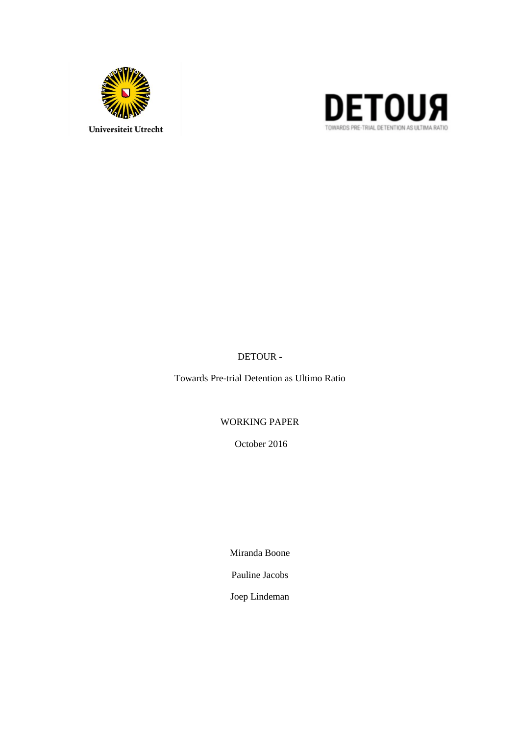



DETOUR -

Towards Pre-trial Detention as Ultimo Ratio

WORKING PAPER

October 2016

Miranda Boone

Pauline Jacobs

Joep Lindeman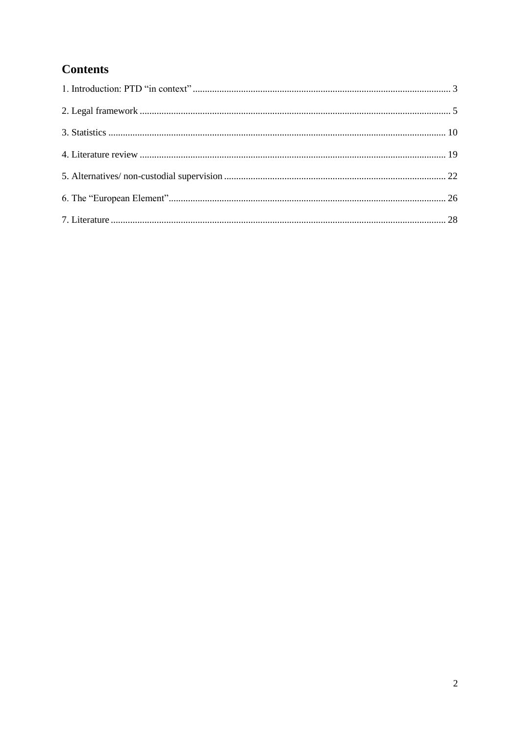# **Contents**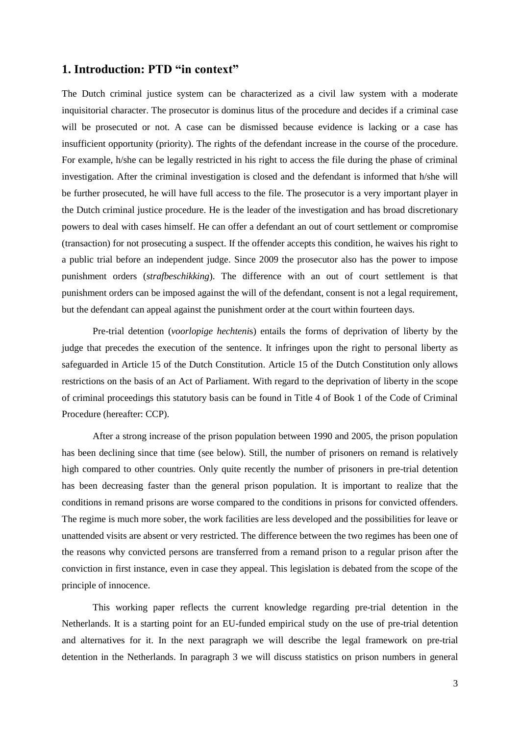## <span id="page-2-0"></span>**1. Introduction: PTD "in context"**

The Dutch criminal justice system can be characterized as a civil law system with a moderate inquisitorial character. The prosecutor is dominus litus of the procedure and decides if a criminal case will be prosecuted or not. A case can be dismissed because evidence is lacking or a case has insufficient opportunity (priority). The rights of the defendant increase in the course of the procedure. For example, h/she can be legally restricted in his right to access the file during the phase of criminal investigation. After the criminal investigation is closed and the defendant is informed that h/she will be further prosecuted, he will have full access to the file. The prosecutor is a very important player in the Dutch criminal justice procedure. He is the leader of the investigation and has broad discretionary powers to deal with cases himself. He can offer a defendant an out of court settlement or compromise (transaction) for not prosecuting a suspect. If the offender accepts this condition, he waives his right to a public trial before an independent judge. Since 2009 the prosecutor also has the power to impose punishment orders (*strafbeschikking*). The difference with an out of court settlement is that punishment orders can be imposed against the will of the defendant, consent is not a legal requirement, but the defendant can appeal against the punishment order at the court within fourteen days.

Pre-trial detention (*voorlopige hechteni*s) entails the forms of deprivation of liberty by the judge that precedes the execution of the sentence. It infringes upon the right to personal liberty as safeguarded in Article 15 of the Dutch Constitution. Article 15 of the Dutch Constitution only allows restrictions on the basis of an Act of Parliament. With regard to the deprivation of liberty in the scope of criminal proceedings this statutory basis can be found in Title 4 of Book 1 of the Code of Criminal Procedure (hereafter: CCP).

After a strong increase of the prison population between 1990 and 2005, the prison population has been declining since that time (see below). Still, the number of prisoners on remand is relatively high compared to other countries. Only quite recently the number of prisoners in pre-trial detention has been decreasing faster than the general prison population. It is important to realize that the conditions in remand prisons are worse compared to the conditions in prisons for convicted offenders. The regime is much more sober, the work facilities are less developed and the possibilities for leave or unattended visits are absent or very restricted. The difference between the two regimes has been one of the reasons why convicted persons are transferred from a remand prison to a regular prison after the conviction in first instance, even in case they appeal. This legislation is debated from the scope of the principle of innocence.

This working paper reflects the current knowledge regarding pre-trial detention in the Netherlands. It is a starting point for an EU-funded empirical study on the use of pre-trial detention and alternatives for it. In the next paragraph we will describe the legal framework on pre-trial detention in the Netherlands. In paragraph 3 we will discuss statistics on prison numbers in general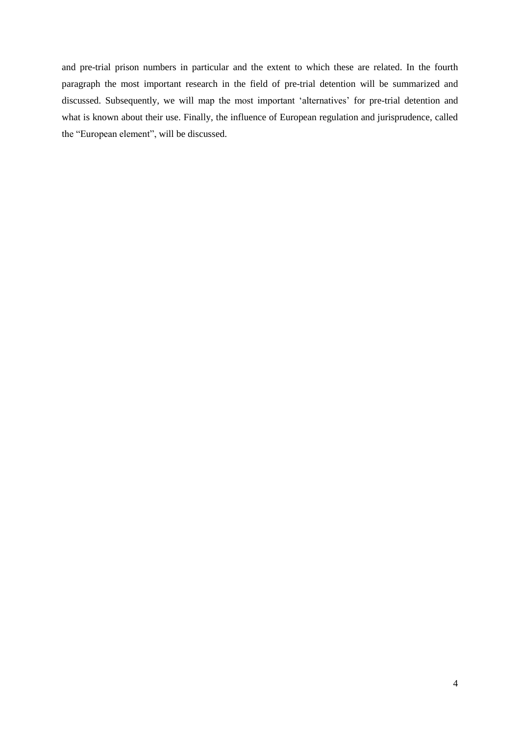<span id="page-3-0"></span>and pre-trial prison numbers in particular and the extent to which these are related. In the fourth paragraph the most important research in the field of pre-trial detention will be summarized and discussed. Subsequently, we will map the most important 'alternatives' for pre-trial detention and what is known about their use. Finally, the influence of European regulation and jurisprudence, called the "European element", will be discussed.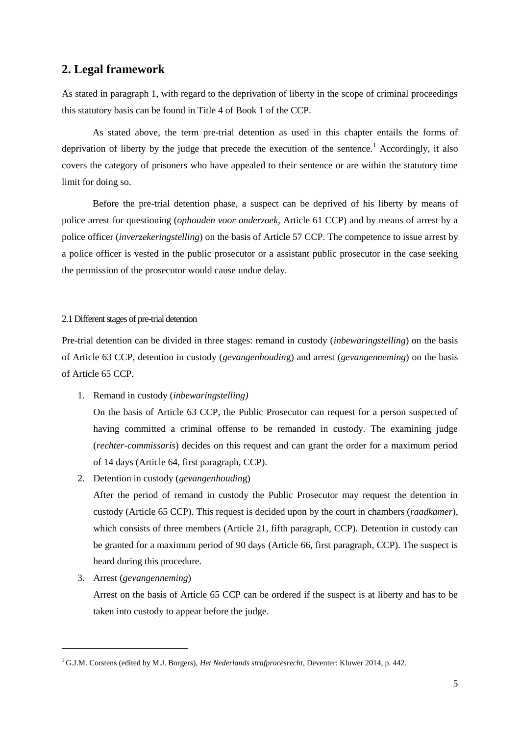# **2. Legal framework**

As stated in paragraph 1, with regard to the deprivation of liberty in the scope of criminal proceedings this statutory basis can be found in Title 4 of Book 1 of the CCP.

As stated above, the term pre-trial detention as used in this chapter entails the forms of deprivation of liberty by the judge that precede the execution of the sentence.<sup>1</sup> Accordingly, it also covers the category of prisoners who have appealed to their sentence or are within the statutory time limit for doing so.

Before the pre-trial detention phase, a suspect can be deprived of his liberty by means of police arrest for questioning (*ophouden voor onderzoek,* Article 61 CCP) and by means of arrest by a police officer (*inverzekeringstelling*) on the basis of Article 57 CCP. The competence to issue arrest by a police officer is vested in the public prosecutor or a assistant public prosecutor in the case seeking the permission of the prosecutor would cause undue delay.

#### 2.1 Different stages of pre-trial detention

Pre-trial detention can be divided in three stages: remand in custody (*inbewaringstelling*) on the basis of Article 63 CCP, detention in custody (*gevangenhoudin*g) and arrest (*gevangenneming*) on the basis of Article 65 CCP.

- 1. Remand in custody (*inbewaringstelling)* On the basis of Article 63 CCP, the Public Prosecutor can request for a person suspected of having committed a criminal offense to be remanded in custody. The examining judge (*rechter-commissaris*) decides on this request and can grant the order for a maximum period of 14 days (Article 64, first paragraph, CCP).
- 2. Detention in custody (*gevangenhoudin*g)

After the period of remand in custody the Public Prosecutor may request the detention in custody (Article 65 CCP). This request is decided upon by the court in chambers (*raadkamer*), which consists of three members (Article 21, fifth paragraph, CCP). Detention in custody can be granted for a maximum period of 90 days (Article 66, first paragraph, CCP). The suspect is heard during this procedure.

3. Arrest (*gevangenneming*)

-

Arrest on the basis of Article 65 CCP can be ordered if the suspect is at liberty and has to be taken into custody to appear before the judge.

<sup>1</sup> G.J.M. Corstens (edited by M.J. Borgers), *Het Nederlands strafprocesrecht*, Deventer: Kluwer 2014, p. 442.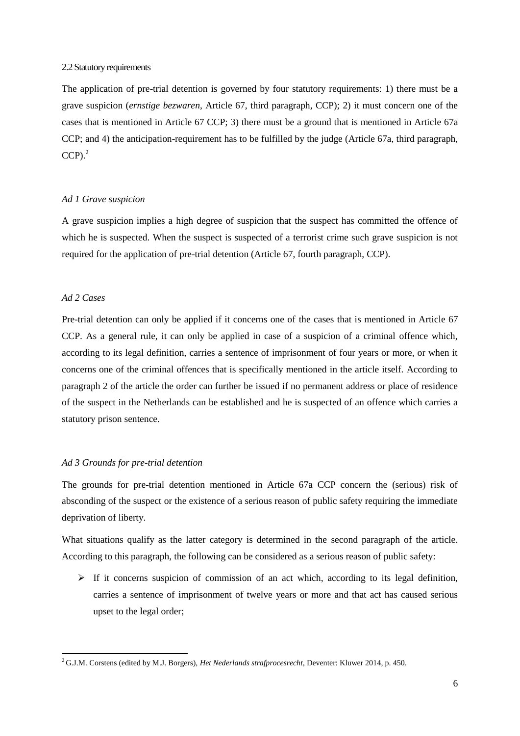#### 2.2 Statutory requirements

The application of pre-trial detention is governed by four statutory requirements: 1) there must be a grave suspicion (*ernstige bezwaren*, Article 67, third paragraph, CCP); 2) it must concern one of the cases that is mentioned in Article 67 CCP; 3) there must be a ground that is mentioned in Article 67a CCP; and 4) the anticipation-requirement has to be fulfilled by the judge (Article 67a, third paragraph,  $CCP<sup>2</sup>$ 

#### *Ad 1 Grave suspicion*

A grave suspicion implies a high degree of suspicion that the suspect has committed the offence of which he is suspected. When the suspect is suspected of a terrorist crime such grave suspicion is not required for the application of pre-trial detention (Article 67, fourth paragraph, CCP).

#### *Ad 2 Cases*

-

Pre-trial detention can only be applied if it concerns one of the cases that is mentioned in Article 67 CCP. As a general rule, it can only be applied in case of a suspicion of a criminal offence which, according to its legal definition, carries a sentence of imprisonment of four years or more, or when it concerns one of the criminal offences that is specifically mentioned in the article itself. According to paragraph 2 of the article the order can further be issued if no permanent address or place of residence of the suspect in the Netherlands can be established and he is suspected of an offence which carries a statutory prison sentence.

#### *Ad 3 Grounds for pre-trial detention*

The grounds for pre-trial detention mentioned in Article 67a CCP concern the (serious) risk of absconding of the suspect or the existence of a serious reason of public safety requiring the immediate deprivation of liberty.

What situations qualify as the latter category is determined in the second paragraph of the article. According to this paragraph, the following can be considered as a serious reason of public safety:

 $\triangleright$  If it concerns suspicion of commission of an act which, according to its legal definition, carries a sentence of imprisonment of twelve years or more and that act has caused serious upset to the legal order;

<sup>2</sup> G.J.M. Corstens (edited by M.J. Borgers), *Het Nederlands strafprocesrecht*, Deventer: Kluwer 2014, p. 450.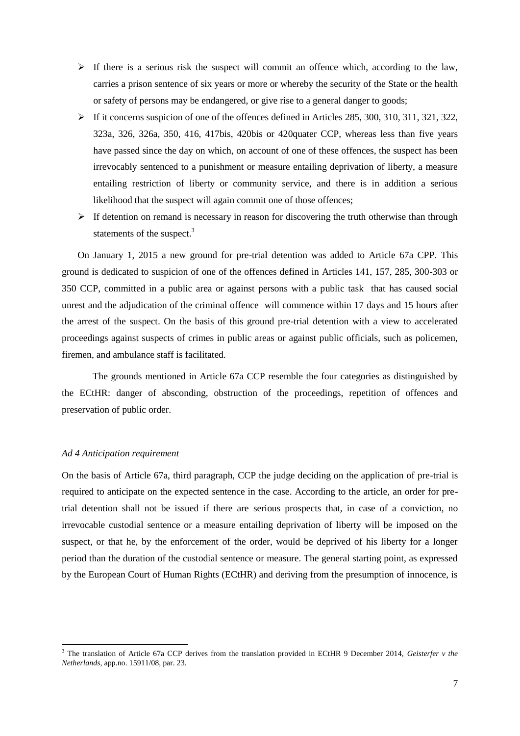- $\triangleright$  If there is a serious risk the suspect will commit an offence which, according to the law, carries a prison sentence of six years or more or whereby the security of the State or the health or safety of persons may be endangered, or give rise to a general danger to goods;
- $\triangleright$  If it concerns suspicion of one of the offences defined in Articles 285, 300, 310, 311, 321, 322, 323a, 326, 326a, 350, 416, 417bis, 420bis or 420quater CCP, whereas less than five years have passed since the day on which, on account of one of these offences, the suspect has been irrevocably sentenced to a punishment or measure entailing deprivation of liberty, a measure entailing restriction of liberty or community service, and there is in addition a serious likelihood that the suspect will again commit one of those offences;
- $\triangleright$  If detention on remand is necessary in reason for discovering the truth otherwise than through statements of the suspect.<sup>3</sup>

On January 1, 2015 a new ground for pre-trial detention was added to Article 67a CPP. This ground is dedicated to suspicion of one of the offences defined in Articles 141, 157, 285, 300-303 or 350 CCP, committed in a public area or against persons with a public task that has caused social unrest and the adjudication of the criminal offence will commence within 17 days and 15 hours after the arrest of the suspect. On the basis of this ground pre-trial detention with a view to accelerated proceedings against suspects of crimes in public areas or against public officials, such as policemen, firemen, and ambulance staff is facilitated.

The grounds mentioned in Article 67a CCP resemble the four categories as distinguished by the ECtHR: danger of absconding, obstruction of the proceedings, repetition of offences and preservation of public order.

#### *Ad 4 Anticipation requirement*

1

On the basis of Article 67a, third paragraph, CCP the judge deciding on the application of pre-trial is required to anticipate on the expected sentence in the case. According to the article, an order for pretrial detention shall not be issued if there are serious prospects that, in case of a conviction, no irrevocable custodial sentence or a measure entailing deprivation of liberty will be imposed on the suspect, or that he, by the enforcement of the order, would be deprived of his liberty for a longer period than the duration of the custodial sentence or measure. The general starting point, as expressed by the European Court of Human Rights (ECtHR) and deriving from the presumption of innocence, is

<sup>3</sup> The translation of Article 67a CCP derives from the translation provided in ECtHR 9 December 2014, *Geisterfer v the Netherlands*, app.no. 15911/08, par. 23.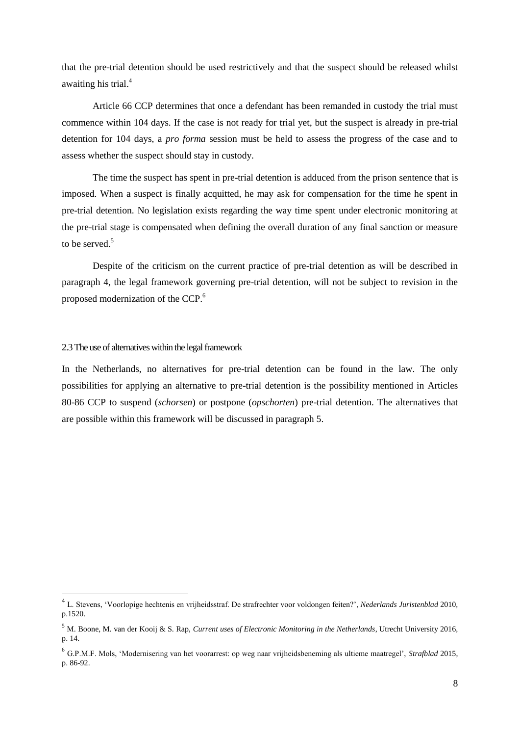that the pre-trial detention should be used restrictively and that the suspect should be released whilst awaiting his trial.<sup>4</sup>

Article 66 CCP determines that once a defendant has been remanded in custody the trial must commence within 104 days. If the case is not ready for trial yet, but the suspect is already in pre-trial detention for 104 days, a *pro forma* session must be held to assess the progress of the case and to assess whether the suspect should stay in custody.

The time the suspect has spent in pre-trial detention is adduced from the prison sentence that is imposed. When a suspect is finally acquitted, he may ask for compensation for the time he spent in pre-trial detention. No legislation exists regarding the way time spent under electronic monitoring at the pre-trial stage is compensated when defining the overall duration of any final sanction or measure to be served.<sup>5</sup>

Despite of the criticism on the current practice of pre-trial detention as will be described in paragraph 4, the legal framework governing pre-trial detention, will not be subject to revision in the proposed modernization of the CCP.<sup>6</sup>

#### 2.3 The use of alternatives within the legal framework

-

In the Netherlands, no alternatives for pre-trial detention can be found in the law. The only possibilities for applying an alternative to pre-trial detention is the possibility mentioned in Articles 80-86 CCP to suspend (*schorsen*) or postpone (*opschorten*) pre-trial detention. The alternatives that are possible within this framework will be discussed in paragraph 5.

<sup>4</sup> L. Stevens, 'Voorlopige hechtenis en vrijheidsstraf. De strafrechter voor voldongen feiten?', *Nederlands Juristenblad* 2010, p.1520.

<sup>5</sup> M. Boone, M. van der Kooij & S. Rap, *Current uses of Electronic Monitoring in the Netherlands*, Utrecht University 2016, p. 14.

<sup>6</sup> G.P.M.F. Mols, 'Modernisering van het voorarrest: op weg naar vrijheidsbeneming als ultieme maatregel', *Strafblad* 2015, p. 86-92.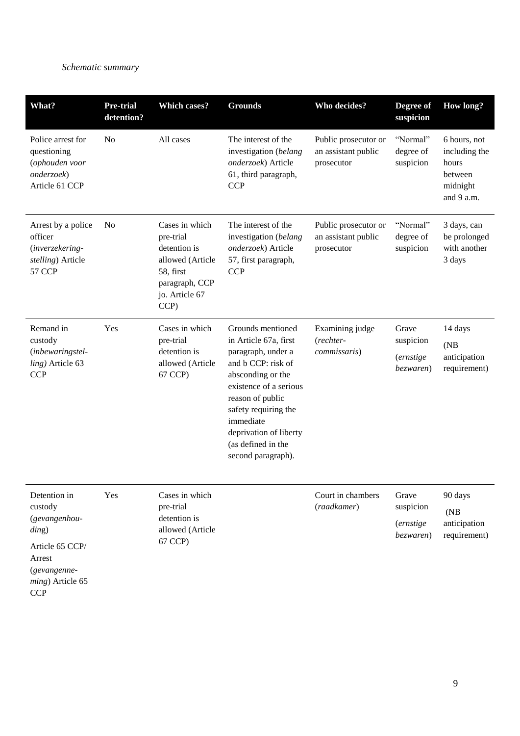# *Schematic summary*

(*gevangenneming*) Article 65

**CCP** 

| What?                                                                                  | <b>Pre-trial</b><br>detention? | <b>Which cases?</b>                                                                                                      | <b>Grounds</b>                                                                                                                                                                                                                                                       | Who decides?                                              | Degree of<br>suspicion                               | <b>How long?</b>                                                            |
|----------------------------------------------------------------------------------------|--------------------------------|--------------------------------------------------------------------------------------------------------------------------|----------------------------------------------------------------------------------------------------------------------------------------------------------------------------------------------------------------------------------------------------------------------|-----------------------------------------------------------|------------------------------------------------------|-----------------------------------------------------------------------------|
| Police arrest for<br>questioning<br>(ophouden voor<br>onderzoek)<br>Article 61 CCP     | No                             | All cases                                                                                                                | The interest of the<br>investigation (belang<br>onderzoek) Article<br>61, third paragraph,<br><b>CCP</b>                                                                                                                                                             | Public prosecutor or<br>an assistant public<br>prosecutor | "Normal"<br>degree of<br>suspicion                   | 6 hours, not<br>including the<br>hours<br>between<br>midnight<br>and 9 a.m. |
| Arrest by a police<br>officer<br>(inverzekering-<br>stelling) Article<br><b>57 CCP</b> | N <sub>0</sub>                 | Cases in which<br>pre-trial<br>detention is<br>allowed (Article<br>58, first<br>paragraph, CCP<br>jo. Article 67<br>CCP) | The interest of the<br>investigation (belang<br>onderzoek) Article<br>57, first paragraph,<br><b>CCP</b>                                                                                                                                                             | Public prosecutor or<br>an assistant public<br>prosecutor | "Normal"<br>degree of<br>suspicion                   | 3 days, can<br>be prolonged<br>with another<br>3 days                       |
| Remand in<br>custody<br>(inbewaringstel-<br>ling) Article 63<br><b>CCP</b>             | Yes                            | Cases in which<br>pre-trial<br>detention is<br>allowed (Article<br>67 CCP)                                               | Grounds mentioned<br>in Article 67a, first<br>paragraph, under a<br>and b CCP: risk of<br>absconding or the<br>existence of a serious<br>reason of public<br>safety requiring the<br>immediate<br>deprivation of liberty<br>(as defined in the<br>second paragraph). | Examining judge<br>$(rechter-$<br><i>commissaris</i> )    | Grave<br>suspicion<br><i>(ernstige)</i><br>bezwaren) | 14 days<br>(NB)<br>anticipation<br>requirement)                             |
| Detention in<br>custody<br>(gevangenhou-<br>ding)<br>Article 65 CCP/<br>Arrest         | Yes                            | Cases in which<br>pre-trial<br>detention is<br>allowed (Article<br>67 CCP)                                               |                                                                                                                                                                                                                                                                      | Court in chambers<br>(raadkamer)                          | Grave<br>suspicion<br><i>(ernstige</i><br>bezwaren)  | 90 days<br>(NB)<br>anticipation<br>requirement)                             |

9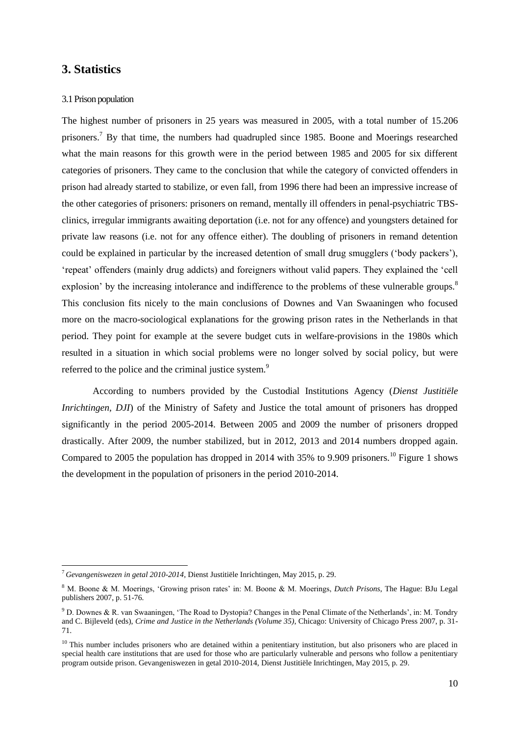# <span id="page-9-0"></span>**3. Statistics**

-

#### 3.1 Prison population

The highest number of prisoners in 25 years was measured in 2005, with a total number of 15.206 prisoners.<sup>7</sup> By that time, the numbers had quadrupled since 1985. Boone and Moerings researched what the main reasons for this growth were in the period between 1985 and 2005 for six different categories of prisoners. They came to the conclusion that while the category of convicted offenders in prison had already started to stabilize, or even fall, from 1996 there had been an impressive increase of the other categories of prisoners: prisoners on remand, mentally ill offenders in penal-psychiatric TBSclinics, irregular immigrants awaiting deportation (i.e. not for any offence) and youngsters detained for private law reasons (i.e. not for any offence either). The doubling of prisoners in remand detention could be explained in particular by the increased detention of small drug smugglers ('body packers'), 'repeat' offenders (mainly drug addicts) and foreigners without valid papers. They explained the 'cell explosion' by the increasing intolerance and indifference to the problems of these vulnerable groups.<sup>8</sup> This conclusion fits nicely to the main conclusions of Downes and Van Swaaningen who focused more on the macro-sociological explanations for the growing prison rates in the Netherlands in that period. They point for example at the severe budget cuts in welfare-provisions in the 1980s which resulted in a situation in which social problems were no longer solved by social policy, but were referred to the police and the criminal justice system.<sup>9</sup>

According to numbers provided by the Custodial Institutions Agency (*Dienst Justitiële Inrichtingen, DJI*) of the Ministry of Safety and Justice the total amount of prisoners has dropped significantly in the period 2005-2014. Between 2005 and 2009 the number of prisoners dropped drastically. After 2009, the number stabilized, but in 2012, 2013 and 2014 numbers dropped again. Compared to 2005 the population has dropped in 2014 with 35% to 9.909 prisoners.<sup>10</sup> Figure 1 shows the development in the population of prisoners in the period 2010-2014.

<sup>7</sup> *Gevangeniswezen in getal 2010-2014*, Dienst Justitiële Inrichtingen, May 2015, p. 29.

<sup>8</sup> M. Boone & M. Moerings, 'Growing prison rates' in: M. Boone & M. Moerings, *Dutch Prisons*, The Hague: BJu Legal publishers 2007, p. 51-76.

<sup>9</sup> D. Downes & R. van Swaaningen, 'The Road to Dystopia? Changes in the Penal Climate of the Netherlands', in: M. Tondry and C. Bijleveld (eds), *Crime and Justice in the Netherlands (Volume 35)*, Chicago: University of Chicago Press 2007, p. 31- 71.

<sup>&</sup>lt;sup>10</sup> This number includes prisoners who are detained within a penitentiary institution, but also prisoners who are placed in special health care institutions that are used for those who are particularly vulnerable and persons who follow a penitentiary program outside prison. Gevangeniswezen in getal 2010-2014, Dienst Justitiële Inrichtingen, May 2015, p. 29.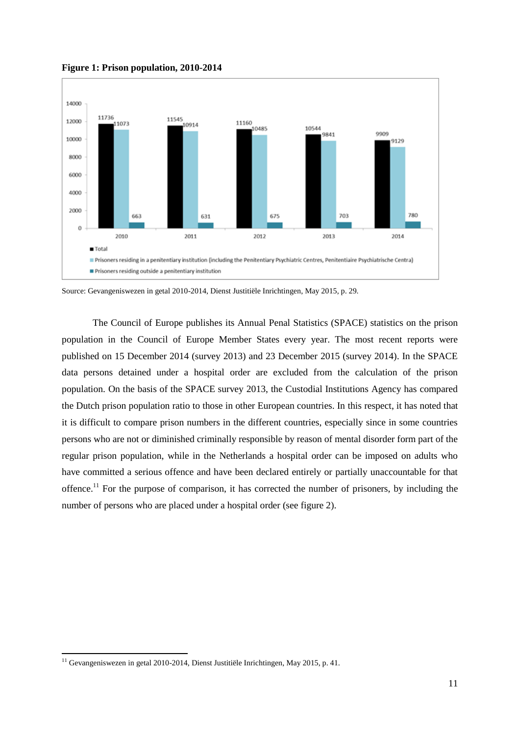

**Figure 1: Prison population, 2010-2014**

Source: Gevangeniswezen in getal 2010-2014, Dienst Justitiële Inrichtingen, May 2015, p. 29.

The Council of Europe publishes its Annual Penal Statistics (SPACE) statistics on the prison population in the Council of Europe Member States every year. The most recent reports were published on 15 December 2014 (survey 2013) and 23 December 2015 (survey 2014). In the SPACE data persons detained under a hospital order are excluded from the calculation of the prison population. On the basis of the SPACE survey 2013, the Custodial Institutions Agency has compared the Dutch prison population ratio to those in other European countries. In this respect, it has noted that it is difficult to compare prison numbers in the different countries, especially since in some countries persons who are not or diminished criminally responsible by reason of mental disorder form part of the regular prison population, while in the Netherlands a hospital order can be imposed on adults who have committed a serious offence and have been declared entirely or partially unaccountable for that offence.<sup>11</sup> For the purpose of comparison, it has corrected the number of prisoners, by including the number of persons who are placed under a hospital order (see figure 2).

-

<sup>&</sup>lt;sup>11</sup> Gevangeniswezen in getal 2010-2014, Dienst Justitiële Inrichtingen, May 2015, p. 41.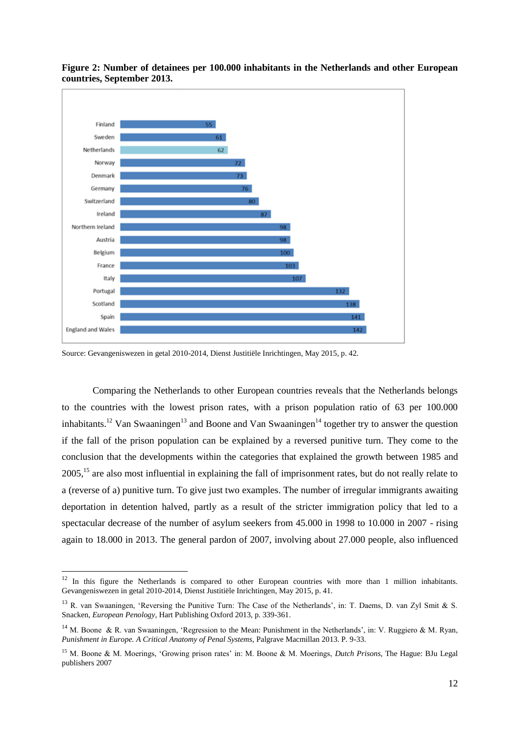



1

Comparing the Netherlands to other European countries reveals that the Netherlands belongs to the countries with the lowest prison rates, with a prison population ratio of 63 per 100.000 inhabitants.<sup>12</sup> Van Swaaningen<sup>13</sup> and Boone and Van Swaaningen<sup>14</sup> together try to answer the question if the fall of the prison population can be explained by a reversed punitive turn. They come to the conclusion that the developments within the categories that explained the growth between 1985 and 2005,<sup>15</sup> are also most influential in explaining the fall of imprisonment rates, but do not really relate to a (reverse of a) punitive turn. To give just two examples. The number of irregular immigrants awaiting deportation in detention halved, partly as a result of the stricter immigration policy that led to a spectacular decrease of the number of asylum seekers from 45.000 in 1998 to 10.000 in 2007 - rising again to 18.000 in 2013. The general pardon of 2007, involving about 27.000 people, also influenced

Source: Gevangeniswezen in getal 2010-2014, Dienst Justitiële Inrichtingen, May 2015, p. 42.

 $12$  In this figure the Netherlands is compared to other European countries with more than 1 million inhabitants. Gevangeniswezen in getal 2010-2014, Dienst Justitiële Inrichtingen, May 2015, p. 41.

<sup>&</sup>lt;sup>13</sup> R. van Swaaningen, 'Reversing the Punitive Turn: The Case of the Netherlands', in: T. Daems, D. van Zyl Smit & S. Snacken, *European Penology,* Hart Publishing Oxford 2013, p. 339-361.

<sup>&</sup>lt;sup>14</sup> M. Boone & R. van Swaaningen, 'Regression to the Mean: Punishment in the Netherlands', in: V. Ruggiero & M. Ryan, *Punishment in Europe. A Critical Anatomy of Penal Systems*, Palgrave Macmillan 2013. P. 9-33.

<sup>15</sup> M. Boone & M. Moerings, 'Growing prison rates' in: M. Boone & M. Moerings, *Dutch Prisons*, The Hague: BJu Legal publishers 2007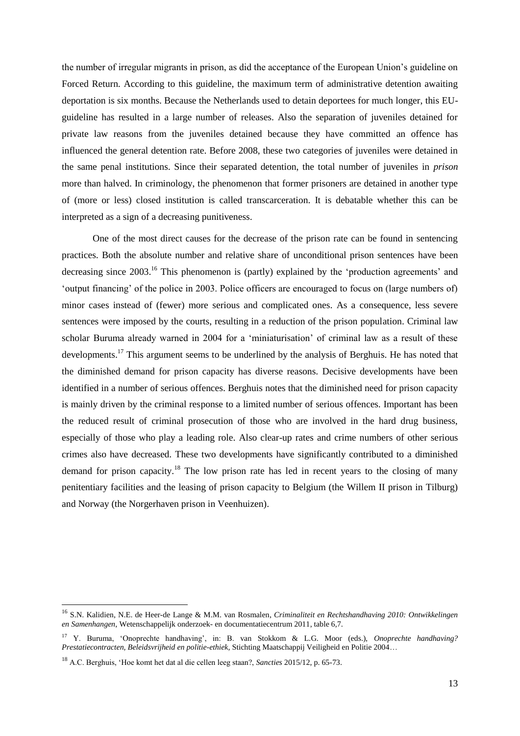the number of irregular migrants in prison, as did the acceptance of the European Union's guideline on Forced Return. According to this guideline, the maximum term of administrative detention awaiting deportation is six months. Because the Netherlands used to detain deportees for much longer, this EUguideline has resulted in a large number of releases. Also the separation of juveniles detained for private law reasons from the juveniles detained because they have committed an offence has influenced the general detention rate. Before 2008, these two categories of juveniles were detained in the same penal institutions. Since their separated detention, the total number of juveniles in *prison* more than halved. In criminology, the phenomenon that former prisoners are detained in another type of (more or less) closed institution is called transcarceration. It is debatable whether this can be interpreted as a sign of a decreasing punitiveness.

One of the most direct causes for the decrease of the prison rate can be found in sentencing practices. Both the absolute number and relative share of unconditional prison sentences have been decreasing since 2003.<sup>16</sup> This phenomenon is (partly) explained by the 'production agreements' and 'output financing' of the police in 2003. Police officers are encouraged to focus on (large numbers of) minor cases instead of (fewer) more serious and complicated ones. As a consequence, less severe sentences were imposed by the courts, resulting in a reduction of the prison population. Criminal law scholar Buruma already warned in 2004 for a 'miniaturisation' of criminal law as a result of these developments.<sup>17</sup> This argument seems to be underlined by the analysis of Berghuis. He has noted that the diminished demand for prison capacity has diverse reasons. Decisive developments have been identified in a number of serious offences. Berghuis notes that the diminished need for prison capacity is mainly driven by the criminal response to a limited number of serious offences. Important has been the reduced result of criminal prosecution of those who are involved in the hard drug business, especially of those who play a leading role. Also clear-up rates and crime numbers of other serious crimes also have decreased. These two developments have significantly contributed to a diminished demand for prison capacity.<sup>18</sup> The low prison rate has led in recent years to the closing of many penitentiary facilities and the leasing of prison capacity to Belgium (the Willem II prison in Tilburg) and Norway (the Norgerhaven prison in Veenhuizen).

1

<sup>16</sup> S.N. Kalidien, N.E. de Heer-de Lange & M.M. van Rosmalen, *Criminaliteit en Rechtshandhaving 2010: Ontwikkelingen en Samenhangen*, Wetenschappelijk onderzoek- en documentatiecentrum 2011, table 6,7.

<sup>17</sup> Y. Buruma, 'Onoprechte handhaving', in: B. van Stokkom & L.G. Moor (eds.), *Onoprechte handhaving? Prestatiecontracten, Beleidsvrijheid en politie-ethiek,* Stichting Maatschappij Veiligheid en Politie 2004…

<sup>18</sup> A.C. Berghuis, 'Hoe komt het dat al die cellen leeg staan?, *Sancties* 2015/12, p. 65-73.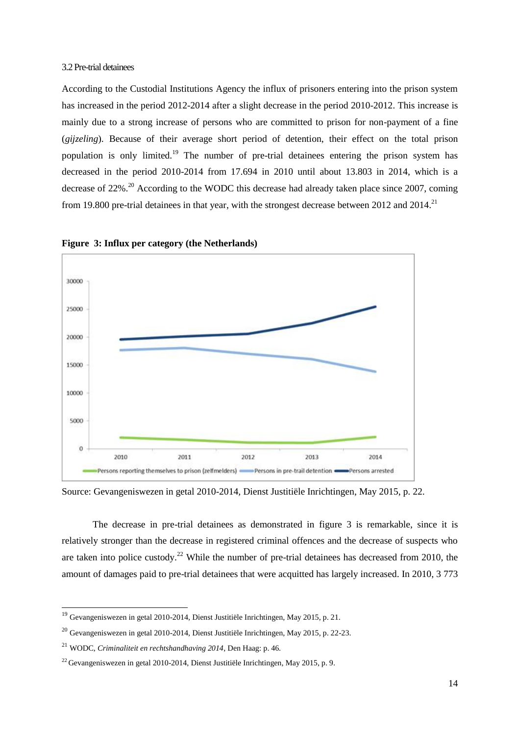#### 3.2 Pre-trial detainees

According to the Custodial Institutions Agency the influx of prisoners entering into the prison system has increased in the period 2012-2014 after a slight decrease in the period 2010-2012. This increase is mainly due to a strong increase of persons who are committed to prison for non-payment of a fine (*gijzeling*). Because of their average short period of detention, their effect on the total prison population is only limited.<sup>19</sup> The number of pre-trial detainees entering the prison system has decreased in the period 2010-2014 from 17.694 in 2010 until about 13.803 in 2014, which is a decrease of  $22\%$ <sup>20</sup> According to the WODC this decrease had already taken place since 2007, coming from 19.800 pre-trial detainees in that year, with the strongest decrease between 2012 and 2014.<sup>21</sup>



**Figure 3: Influx per category (the Netherlands)**

Source: Gevangeniswezen in getal 2010-2014*,* Dienst Justitiële Inrichtingen, May 2015, p. 22.

The decrease in pre-trial detainees as demonstrated in figure 3 is remarkable, since it is relatively stronger than the decrease in registered criminal offences and the decrease of suspects who are taken into police custody.<sup>22</sup> While the number of pre-trial detainees has decreased from 2010, the amount of damages paid to pre-trial detainees that were acquitted has largely increased. In 2010, 3 773

-

 $19$  Gevangeniswezen in getal 2010-2014, Dienst Justitiële Inrichtingen, May 2015, p. 21.

 $^{20}$  Gevangeniswezen in getal 2010-2014, Dienst Justitiële Inrichtingen, May 2015, p. 22-23.

<sup>21</sup> WODC, *Criminaliteit en rechtshandhaving 2014*, Den Haag: p. 46.

 $^{22}$  Gevangeniswezen in getal 2010-2014, Dienst Justitiële Inrichtingen, May 2015, p. 9.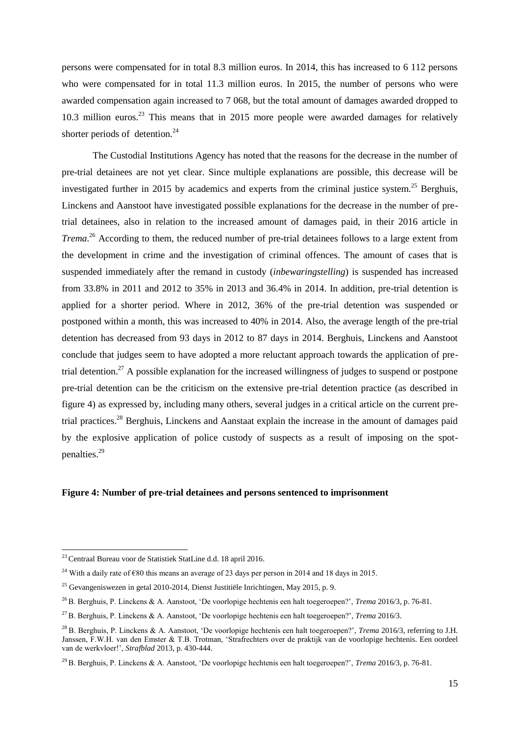persons were compensated for in total 8.3 million euros. In 2014, this has increased to 6 112 persons who were compensated for in total 11.3 million euros. In 2015, the number of persons who were awarded compensation again increased to 7 068, but the total amount of damages awarded dropped to 10.3 million euros.<sup>23</sup> This means that in 2015 more people were awarded damages for relatively shorter periods of detention.<sup>24</sup>

The Custodial Institutions Agency has noted that the reasons for the decrease in the number of pre-trial detainees are not yet clear. Since multiple explanations are possible, this decrease will be investigated further in 2015 by academics and experts from the criminal justice system.<sup>25</sup> Berghuis, Linckens and Aanstoot have investigated possible explanations for the decrease in the number of pretrial detainees, also in relation to the increased amount of damages paid, in their 2016 article in *Trema*. <sup>26</sup> According to them, the reduced number of pre-trial detainees follows to a large extent from the development in crime and the investigation of criminal offences. The amount of cases that is suspended immediately after the remand in custody (*inbewaringstelling*) is suspended has increased from 33.8% in 2011 and 2012 to 35% in 2013 and 36.4% in 2014. In addition, pre-trial detention is applied for a shorter period. Where in 2012, 36% of the pre-trial detention was suspended or postponed within a month, this was increased to 40% in 2014. Also, the average length of the pre-trial detention has decreased from 93 days in 2012 to 87 days in 2014. Berghuis, Linckens and Aanstoot conclude that judges seem to have adopted a more reluctant approach towards the application of pretrial detention.<sup>27</sup> A possible explanation for the increased willingness of judges to suspend or postpone pre-trial detention can be the criticism on the extensive pre-trial detention practice (as described in figure 4) as expressed by, including many others, several judges in a critical article on the current pretrial practices.<sup>28</sup> Berghuis, Linckens and Aanstaat explain the increase in the amount of damages paid by the explosive application of police custody of suspects as a result of imposing on the spotpenalties.<sup>29</sup>

#### **Figure 4: Number of pre-trial detainees and persons sentenced to imprisonment**

-

<sup>23</sup> Centraal Bureau voor de Statistiek StatLine d.d. 18 april 2016.

<sup>&</sup>lt;sup>24</sup> With a daily rate of  $\epsilon$ 80 this means an average of 23 days per person in 2014 and 18 days in 2015.

 $^{25}$  Gevangeniswezen in getal 2010-2014, Dienst Justitiële Inrichtingen, May 2015, p. 9.

<sup>26</sup> B. Berghuis, P. Linckens & A. Aanstoot, 'De voorlopige hechtenis een halt toegeroepen?', *Trema* 2016/3, p. 76-81.

<sup>27</sup> B. Berghuis, P. Linckens & A. Aanstoot, 'De voorlopige hechtenis een halt toegeroepen?', *Trema* 2016/3.

<sup>28</sup> B. Berghuis, P. Linckens & A. Aanstoot, 'De voorlopige hechtenis een halt toegeroepen?', *Trema* 2016/3, referring to J.H. Janssen, F.W.H. van den Emster & T.B. Trotman, 'Strafrechters over de praktijk van de voorlopige hechtenis. Een oordeel van de werkvloer!', *Strafblad* 2013, p. 430-444.

<sup>29</sup> B. Berghuis, P. Linckens & A. Aanstoot, 'De voorlopige hechtenis een halt toegeroepen?', *Trema* 2016/3, p. 76-81.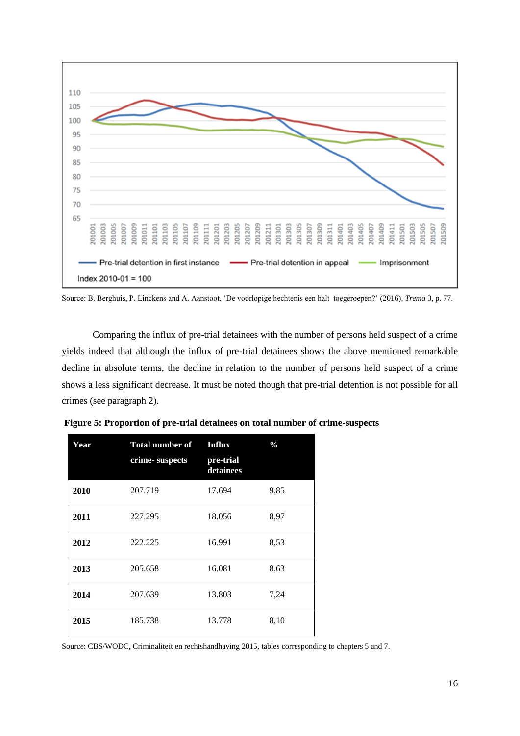

Source: B. Berghuis, P. Linckens and A. Aanstoot, 'De voorlopige hechtenis een halt toegeroepen?' (2016), *Trema* 3, p. 77.

Comparing the influx of pre-trial detainees with the number of persons held suspect of a crime yields indeed that although the influx of pre-trial detainees shows the above mentioned remarkable decline in absolute terms, the decline in relation to the number of persons held suspect of a crime shows a less significant decrease. It must be noted though that pre-trial detention is not possible for all crimes (see paragraph 2).

| Year | <b>Total number of</b><br>crime-suspects | Influx<br>pre-trial<br>detainees | $\frac{0}{0}$ |
|------|------------------------------------------|----------------------------------|---------------|
| 2010 | 207.719                                  | 17.694                           | 9,85          |
| 2011 | 227.295                                  | 18.056                           | 8,97          |
| 2012 | 222.225                                  | 16.991                           | 8,53          |
| 2013 | 205.658                                  | 16.081                           | 8,63          |
| 2014 | 207.639                                  | 13.803                           | 7,24          |
| 2015 | 185.738                                  | 13.778                           | 8,10          |

**Figure 5: Proportion of pre-trial detainees on total number of crime-suspects**

Source: CBS/WODC, Criminaliteit en rechtshandhaving 2015, tables corresponding to chapters 5 and 7.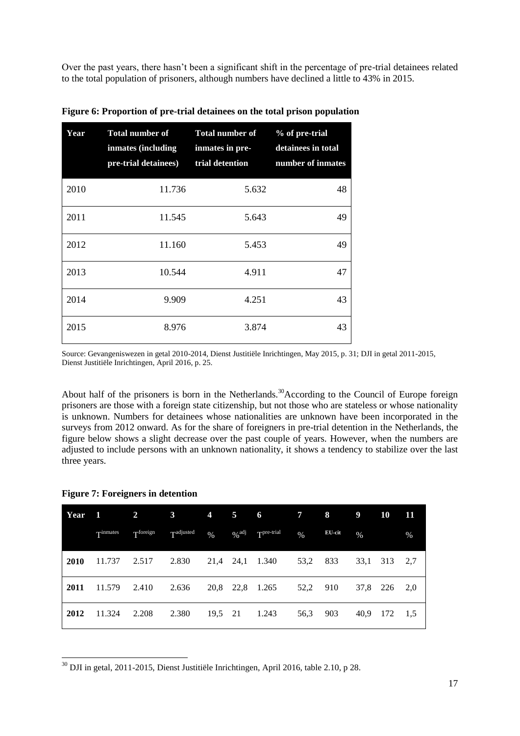Over the past years, there hasn't been a significant shift in the percentage of pre-trial detainees related to the total population of prisoners, although numbers have declined a little to 43% in 2015.

| Year | <b>Total number of</b><br>inmates (including<br>pre-trial detainees) | <b>Total number of</b><br>inmates in pre-<br>trial detention | % of pre-trial<br>detainees in total<br>number of inmates |
|------|----------------------------------------------------------------------|--------------------------------------------------------------|-----------------------------------------------------------|
| 2010 | 11.736                                                               | 5.632                                                        | 48                                                        |
| 2011 | 11.545                                                               | 5.643                                                        | 49                                                        |
| 2012 | 11.160                                                               | 5.453                                                        | 49                                                        |
| 2013 | 10.544                                                               | 4.911                                                        | 47                                                        |
| 2014 | 9.909                                                                | 4.251                                                        | 43                                                        |
| 2015 | 8.976                                                                | 3.874                                                        | 43                                                        |

**Figure 6: Proportion of pre-trial detainees on the total prison population** 

Source: Gevangeniswezen in getal 2010-2014*,* Dienst Justitiële Inrichtingen, May 2015, p. 31; DJI in getal 2011-2015, Dienst Justitiële Inrichtingen, April 2016, p. 25.

About half of the prisoners is born in the Netherlands.<sup>30</sup>According to the Council of Europe foreign prisoners are those with a foreign state citizenship, but not those who are stateless or whose nationality is unknown. Numbers for detainees whose nationalities are unknown have been incorporated in the surveys from 2012 onward. As for the share of foreigners in pre-trial detention in the Netherlands, the figure below shows a slight decrease over the past couple of years. However, when the numbers are adjusted to include persons with an unknown nationality, it shows a tendency to stabilize over the last three years.

|  | <b>Figure 7: Foreigners in detention</b> |  |
|--|------------------------------------------|--|
|  |                                          |  |

| Year | -1       | $\overline{2}$ | $\mathbf{3}$ | $\overline{4}$ | 5                   | 6               | $\overline{7}$ | 8      | 9    | 10  | 11   |
|------|----------|----------------|--------------|----------------|---------------------|-----------------|----------------|--------|------|-----|------|
|      | Tinmates | Tforeign       | Tadjusted    | $\frac{9}{6}$  | $\%$ <sup>adj</sup> | $Tpre-trial$    | $\%$           | EU-cit | $\%$ |     | $\%$ |
| 2010 | 11.737   | 2.517          | 2.830        |                |                     | 21,4 24,1 1.340 | 53,2           | 833    | 33,1 | 313 | 2,7  |
| 2011 | 11.579   | 2.410          | 2.636        | 20,8           |                     | 22,8 1.265      | 52,2           | 910    | 37,8 | 226 | 2,0  |
| 2012 | 11.324   | 2.208          | 2.380        |                |                     | 19,5 21 1.243   | 56,3           | 903    | 40,9 | 172 | 1,5  |

- $30$  DJI in getal, 2011-2015, Dienst Justitiële Inrichtingen, April 2016, table 2.10, p 28.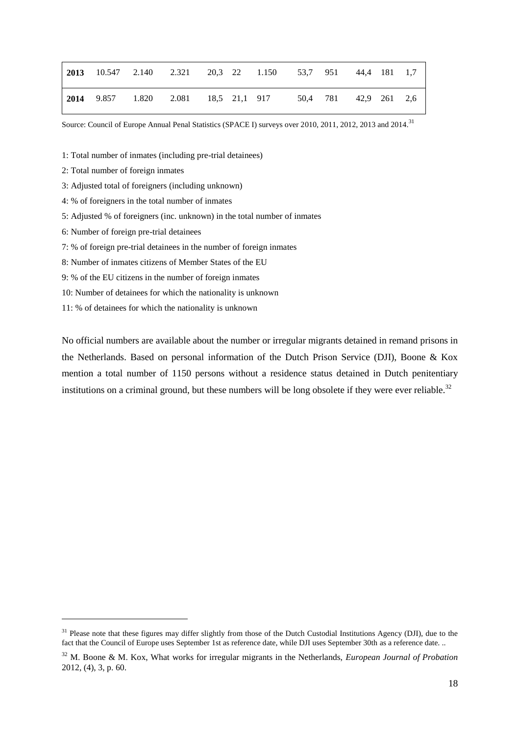|  |  |  | 2013 10.547 2.140 2.321 20.3 22 1.150 53.7 951 44.4 181 1.7 |  |  |  |
|--|--|--|-------------------------------------------------------------|--|--|--|
|  |  |  | 2014 9.857 1.820 2.081 18,5 21,1 917 50,4 781 42,9 261 2,6  |  |  |  |

Source: Council of Europe Annual Penal Statistics (SPACE I) surveys over 2010, 2011, 2012, 2013 and 2014.<sup>31</sup>

1: Total number of inmates (including pre-trial detainees)

- 2: Total number of foreign inmates
- 3: Adjusted total of foreigners (including unknown)
- 4: % of foreigners in the total number of inmates
- 5: Adjusted % of foreigners (inc. unknown) in the total number of inmates
- 6: Number of foreign pre-trial detainees

-

- 7: % of foreign pre-trial detainees in the number of foreign inmates
- 8: Number of inmates citizens of Member States of the EU
- 9: % of the EU citizens in the number of foreign inmates
- 10: Number of detainees for which the nationality is unknown
- 11: % of detainees for which the nationality is unknown

No official numbers are available about the number or irregular migrants detained in remand prisons in the Netherlands. Based on personal information of the Dutch Prison Service (DJI), Boone & Kox mention a total number of 1150 persons without a residence status detained in Dutch penitentiary institutions on a criminal ground, but these numbers will be long obsolete if they were ever reliable.<sup>32</sup>

<sup>&</sup>lt;sup>31</sup> Please note that these figures may differ slightly from those of the Dutch Custodial Institutions Agency (DJI), due to the fact that the Council of Europe uses September 1st as reference date, while DJI uses September 30th as a reference date. ..

<sup>32</sup> M. Boone & M. Kox, What works for irregular migrants in the Netherlands, *European Journal of Probation* 2012, (4), 3, p. 60.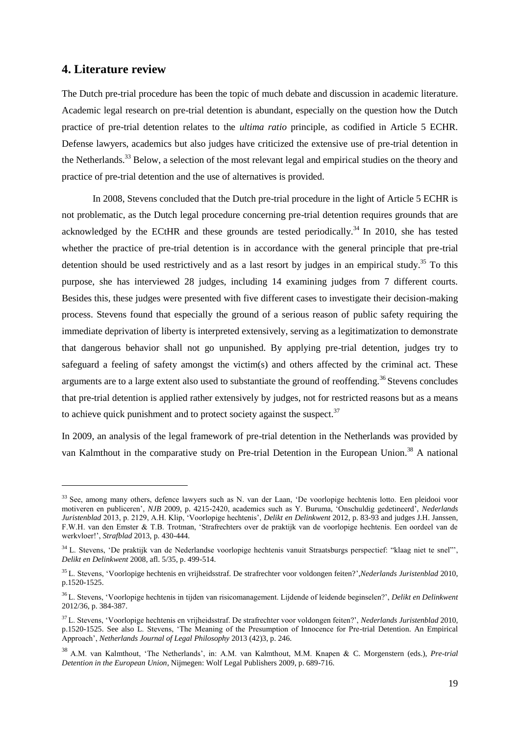# <span id="page-18-0"></span>**4. Literature review**

1

The Dutch pre-trial procedure has been the topic of much debate and discussion in academic literature. Academic legal research on pre-trial detention is abundant, especially on the question how the Dutch practice of pre-trial detention relates to the *ultima ratio* principle, as codified in Article 5 ECHR. Defense lawyers, academics but also judges have criticized the extensive use of pre-trial detention in the Netherlands.<sup>33</sup> Below, a selection of the most relevant legal and empirical studies on the theory and practice of pre-trial detention and the use of alternatives is provided.

In 2008, Stevens concluded that the Dutch pre-trial procedure in the light of Article 5 ECHR is not problematic, as the Dutch legal procedure concerning pre-trial detention requires grounds that are acknowledged by the ECtHR and these grounds are tested periodically.<sup>34</sup> In 2010, she has tested whether the practice of pre-trial detention is in accordance with the general principle that pre-trial detention should be used restrictively and as a last resort by judges in an empirical study.<sup>35</sup> To this purpose, she has interviewed 28 judges, including 14 examining judges from 7 different courts. Besides this, these judges were presented with five different cases to investigate their decision-making process. Stevens found that especially the ground of a serious reason of public safety requiring the immediate deprivation of liberty is interpreted extensively, serving as a legitimatization to demonstrate that dangerous behavior shall not go unpunished. By applying pre-trial detention, judges try to safeguard a feeling of safety amongst the victim(s) and others affected by the criminal act. These arguments are to a large extent also used to substantiate the ground of reoffending.<sup>36</sup> Stevens concludes that pre-trial detention is applied rather extensively by judges, not for restricted reasons but as a means to achieve quick punishment and to protect society against the suspect. $37$ 

In 2009, an analysis of the legal framework of pre-trial detention in the Netherlands was provided by van Kalmthout in the comparative study on Pre-trial Detention in the European Union.<sup>38</sup> A national

<sup>&</sup>lt;sup>33</sup> See, among many others, defence lawyers such as N. van der Laan, 'De voorlopige hechtenis lotto. Een pleidooi voor motiveren en publiceren', *NJB* 2009, p. 4215-2420, academics such as Y. Buruma, 'Onschuldig gedetineerd', *Nederlands Juristenblad* 2013, p. 2129, A.H. Klip, 'Voorlopige hechtenis', *Delikt en Delinkwent* 2012, p. 83-93 and judges J.H. Janssen, F.W.H. van den Emster & T.B. Trotman, 'Strafrechters over de praktijk van de voorlopige hechtenis. Een oordeel van de werkvloer!', *Strafblad* 2013, p. 430-444.

<sup>&</sup>lt;sup>34</sup> L. Stevens, 'De praktijk van de Nederlandse voorlopige hechtenis vanuit Straatsburgs perspectief: "klaag niet te snel"', *Delikt en Delinkwent* 2008, afl. 5/35, p. 499-514.

<sup>35</sup> L. Stevens, 'Voorlopige hechtenis en vrijheidsstraf. De strafrechter voor voldongen feiten?',*Nederlands Juristenblad* 2010, p.1520-1525.

<sup>36</sup> L. Stevens, 'Voorlopige hechtenis in tijden van risicomanagement. Lijdende of leidende beginselen?', *Delikt en Delinkwent* 2012/36, p. 384-387.

<sup>37</sup> L. Stevens, 'Voorlopige hechtenis en vrijheidsstraf. De strafrechter voor voldongen feiten?', *Nederlands Juristenblad* 2010, p.1520-1525. See also L. Stevens, 'The Meaning of the Presumption of Innocence for Pre-trial Detention. An Empirical Approach', *Netherlands Journal of Legal Philosophy* 2013 (42)3, p. 246.

<sup>38</sup> A.M. van Kalmthout, 'The Netherlands', in: A.M. van Kalmthout, M.M. Knapen & C. Morgenstern (eds.), *Pre-trial Detention in the European Union*, Nijmegen: Wolf Legal Publishers 2009, p. 689-716.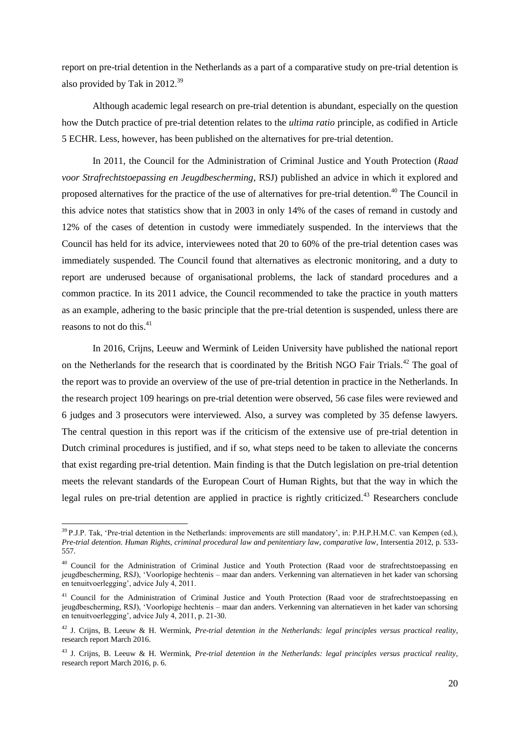report on pre-trial detention in the Netherlands as a part of a comparative study on pre-trial detention is also provided by Tak in 2012.<sup>39</sup>

Although academic legal research on pre-trial detention is abundant, especially on the question how the Dutch practice of pre-trial detention relates to the *ultima ratio* principle, as codified in Article 5 ECHR. Less, however, has been published on the alternatives for pre-trial detention.

In 2011, the Council for the Administration of Criminal Justice and Youth Protection (*Raad voor Strafrechtstoepassing en Jeugdbescherming*, RSJ) published an advice in which it explored and proposed alternatives for the practice of the use of alternatives for pre-trial detention.<sup>40</sup> The Council in this advice notes that statistics show that in 2003 in only 14% of the cases of remand in custody and 12% of the cases of detention in custody were immediately suspended. In the interviews that the Council has held for its advice, interviewees noted that 20 to 60% of the pre-trial detention cases was immediately suspended. The Council found that alternatives as electronic monitoring, and a duty to report are underused because of organisational problems, the lack of standard procedures and a common practice. In its 2011 advice, the Council recommended to take the practice in youth matters as an example, adhering to the basic principle that the pre-trial detention is suspended, unless there are reasons to not do this. $41$ 

In 2016, Crijns, Leeuw and Wermink of Leiden University have published the national report on the Netherlands for the research that is coordinated by the British NGO Fair Trials.<sup>42</sup> The goal of the report was to provide an overview of the use of pre-trial detention in practice in the Netherlands. In the research project 109 hearings on pre-trial detention were observed, 56 case files were reviewed and 6 judges and 3 prosecutors were interviewed. Also, a survey was completed by 35 defense lawyers. The central question in this report was if the criticism of the extensive use of pre-trial detention in Dutch criminal procedures is justified, and if so, what steps need to be taken to alleviate the concerns that exist regarding pre-trial detention. Main finding is that the Dutch legislation on pre-trial detention meets the relevant standards of the European Court of Human Rights, but that the way in which the legal rules on pre-trial detention are applied in practice is rightly criticized.<sup>43</sup> Researchers conclude

1

<sup>&</sup>lt;sup>39</sup> P.J.P. Tak, 'Pre-trial detention in the Netherlands: improvements are still mandatory', in: P.H.P.H.M.C. van Kempen (ed.), *Pre-trial detention. Human Rights, criminal procedural law and penitentiary law, comparative law*, Intersentia 2012, p. 533- 557.

<sup>&</sup>lt;sup>40</sup> Council for the Administration of Criminal Justice and Youth Protection (Raad voor de strafrechtstoepassing en jeugdbescherming, RSJ), 'Voorlopige hechtenis – maar dan anders. Verkenning van alternatieven in het kader van schorsing en tenuitvoerlegging', advice July 4, 2011.

<sup>&</sup>lt;sup>41</sup> Council for the Administration of Criminal Justice and Youth Protection (Raad voor de strafrechtstoepassing en jeugdbescherming, RSJ), 'Voorlopige hechtenis – maar dan anders. Verkenning van alternatieven in het kader van schorsing en tenuitvoerlegging', advice July 4, 2011, p. 21-30.

<sup>42</sup> J. Crijns, B. Leeuw & H. Wermink, *Pre-trial detention in the Netherlands: legal principles versus practical reality*, research report March 2016.

<sup>43</sup> J. Crijns, B. Leeuw & H. Wermink, *Pre-trial detention in the Netherlands: legal principles versus practical reality*, research report March 2016, p. 6.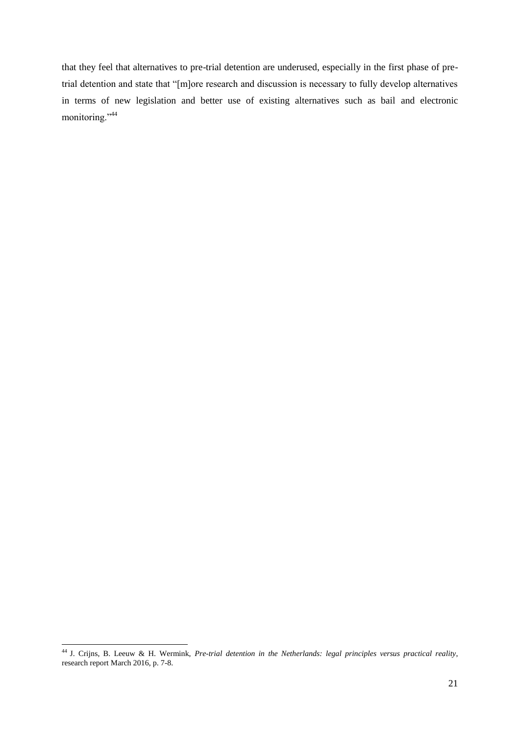that they feel that alternatives to pre-trial detention are underused, especially in the first phase of pretrial detention and state that "[m]ore research and discussion is necessary to fully develop alternatives in terms of new legislation and better use of existing alternatives such as bail and electronic monitoring."<sup>44</sup>

<sup>1</sup> <sup>44</sup> J. Crijns, B. Leeuw & H. Wermink, *Pre-trial detention in the Netherlands: legal principles versus practical reality*, research report March 2016, p. 7-8.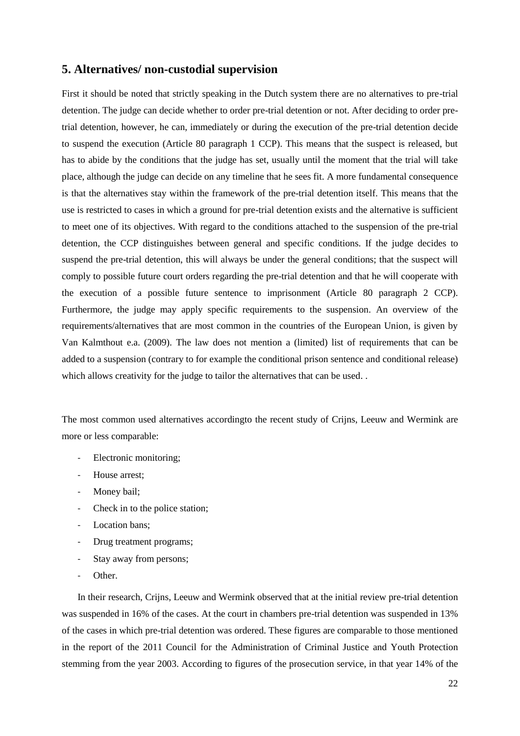### <span id="page-21-0"></span>**5. Alternatives/ non-custodial supervision**

First it should be noted that strictly speaking in the Dutch system there are no alternatives to pre-trial detention. The judge can decide whether to order pre-trial detention or not. After deciding to order pretrial detention, however, he can, immediately or during the execution of the pre-trial detention decide to suspend the execution (Article 80 paragraph 1 CCP). This means that the suspect is released, but has to abide by the conditions that the judge has set, usually until the moment that the trial will take place, although the judge can decide on any timeline that he sees fit. A more fundamental consequence is that the alternatives stay within the framework of the pre-trial detention itself. This means that the use is restricted to cases in which a ground for pre-trial detention exists and the alternative is sufficient to meet one of its objectives. With regard to the conditions attached to the suspension of the pre-trial detention, the CCP distinguishes between general and specific conditions. If the judge decides to suspend the pre-trial detention, this will always be under the general conditions; that the suspect will comply to possible future court orders regarding the pre-trial detention and that he will cooperate with the execution of a possible future sentence to imprisonment (Article 80 paragraph 2 CCP). Furthermore, the judge may apply specific requirements to the suspension. An overview of the requirements/alternatives that are most common in the countries of the European Union, is given by Van Kalmthout e.a. (2009). The law does not mention a (limited) list of requirements that can be added to a suspension (contrary to for example the conditional prison sentence and conditional release) which allows creativity for the judge to tailor the alternatives that can be used. .

The most common used alternatives accordingto the recent study of Crijns, Leeuw and Wermink are more or less comparable:

- Electronic monitoring;
- House arrest;
- Money bail;
- Check in to the police station;
- Location bans;
- Drug treatment programs;
- Stay away from persons;
- Other.

In their research, Crijns, Leeuw and Wermink observed that at the initial review pre-trial detention was suspended in 16% of the cases. At the court in chambers pre-trial detention was suspended in 13% of the cases in which pre-trial detention was ordered. These figures are comparable to those mentioned in the report of the 2011 Council for the Administration of Criminal Justice and Youth Protection stemming from the year 2003. According to figures of the prosecution service, in that year 14% of the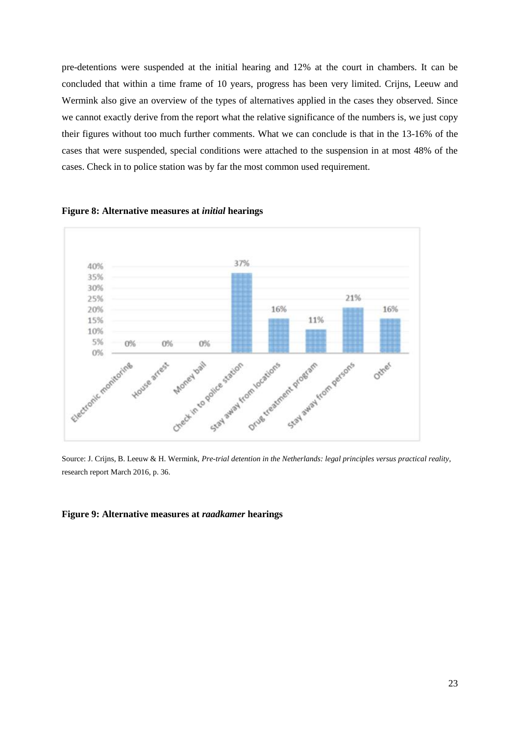pre-detentions were suspended at the initial hearing and 12% at the court in chambers. It can be concluded that within a time frame of 10 years, progress has been very limited. Crijns, Leeuw and Wermink also give an overview of the types of alternatives applied in the cases they observed. Since we cannot exactly derive from the report what the relative significance of the numbers is, we just copy their figures without too much further comments. What we can conclude is that in the 13-16% of the cases that were suspended, special conditions were attached to the suspension in at most 48% of the cases. Check in to police station was by far the most common used requirement.



**Figure 8: Alternative measures at** *initial* **hearings**

Source: J. Crijns, B. Leeuw & H. Wermink, *Pre-trial detention in the Netherlands: legal principles versus practical reality,*  research report March 2016, p. 36.

#### **Figure 9: Alternative measures at** *raadkamer* **hearings**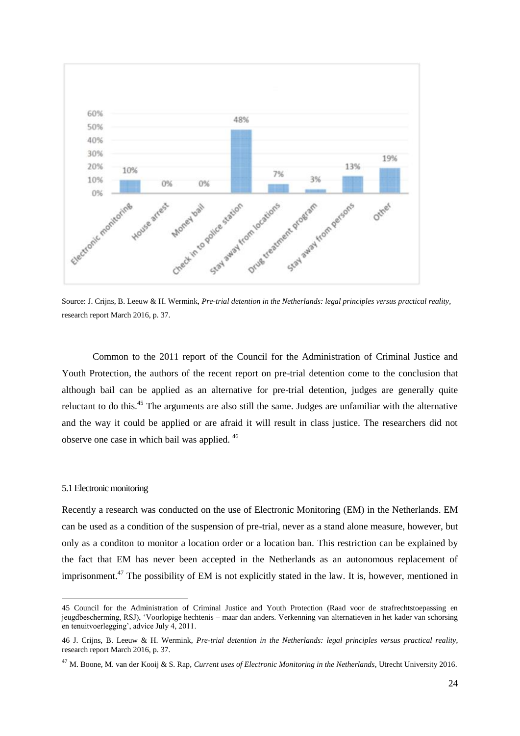

Source: J. Crijns, B. Leeuw & H. Wermink, *Pre-trial detention in the Netherlands: legal principles versus practical reality,*  research report March 2016, p. 37.

Common to the 2011 report of the Council for the Administration of Criminal Justice and Youth Protection, the authors of the recent report on pre-trial detention come to the conclusion that although bail can be applied as an alternative for pre-trial detention, judges are generally quite reluctant to do this.<sup>45</sup> The arguments are also still the same. Judges are unfamiliar with the alternative and the way it could be applied or are afraid it will result in class justice. The researchers did not observe one case in which bail was applied. <sup>46</sup>

#### 5.1 Electronic monitoring

1

Recently a research was conducted on the use of Electronic Monitoring (EM) in the Netherlands. EM can be used as a condition of the suspension of pre-trial, never as a stand alone measure, however, but only as a conditon to monitor a location order or a location ban. This restriction can be explained by the fact that EM has never been accepted in the Netherlands as an autonomous replacement of imprisonment.<sup>47</sup> The possibility of EM is not explicitly stated in the law. It is, however, mentioned in

<sup>45</sup> Council for the Administration of Criminal Justice and Youth Protection (Raad voor de strafrechtstoepassing en jeugdbescherming, RSJ), 'Voorlopige hechtenis – maar dan anders. Verkenning van alternatieven in het kader van schorsing en tenuitvoerlegging', advice July 4, 2011.

<sup>46</sup> J. Crijns, B. Leeuw & H. Wermink, *Pre-trial detention in the Netherlands: legal principles versus practical reality*, research report March 2016, p. 37.

<sup>47</sup> M. Boone, M. van der Kooij & S. Rap, *Current uses of Electronic Monitoring in the Netherlands*, Utrecht University 2016.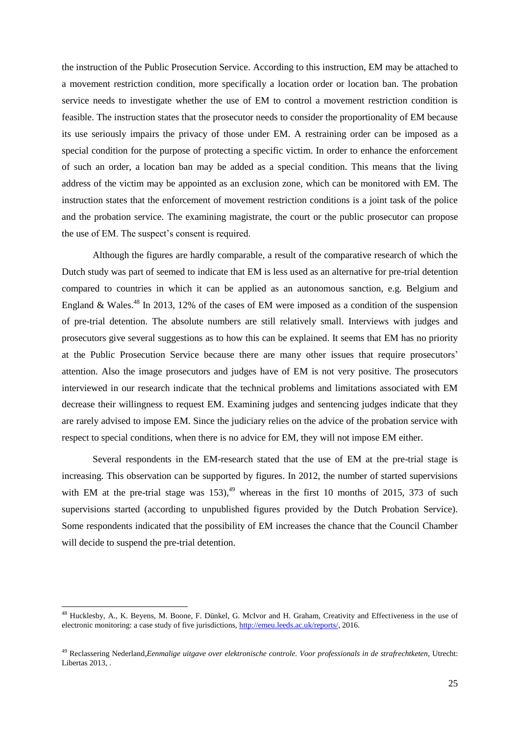the instruction of the Public Prosecution Service. According to this instruction, EM may be attached to a movement restriction condition, more specifically a location order or location ban. The probation service needs to investigate whether the use of EM to control a movement restriction condition is feasible. The instruction states that the prosecutor needs to consider the proportionality of EM because its use seriously impairs the privacy of those under EM. A restraining order can be imposed as a special condition for the purpose of protecting a specific victim. In order to enhance the enforcement of such an order, a location ban may be added as a special condition. This means that the living address of the victim may be appointed as an exclusion zone, which can be monitored with EM. The instruction states that the enforcement of movement restriction conditions is a joint task of the police and the probation service. The examining magistrate, the court or the public prosecutor can propose the use of EM. The suspect's consent is required.

Although the figures are hardly comparable, a result of the comparative research of which the Dutch study was part of seemed to indicate that EM is less used as an alternative for pre-trial detention compared to countries in which it can be applied as an autonomous sanction, e.g. Belgium and England & Wales.<sup>48</sup> In 2013, 12% of the cases of EM were imposed as a condition of the suspension of pre-trial detention. The absolute numbers are still relatively small. Interviews with judges and prosecutors give several suggestions as to how this can be explained. It seems that EM has no priority at the Public Prosecution Service because there are many other issues that require prosecutors' attention. Also the image prosecutors and judges have of EM is not very positive. The prosecutors interviewed in our research indicate that the technical problems and limitations associated with EM decrease their willingness to request EM. Examining judges and sentencing judges indicate that they are rarely advised to impose EM. Since the judiciary relies on the advice of the probation service with respect to special conditions, when there is no advice for EM, they will not impose EM either.

Several respondents in the EM-research stated that the use of EM at the pre-trial stage is increasing. This observation can be supported by figures. In 2012, the number of started supervisions with EM at the pre-trial stage was  $153$ ,<sup>49</sup> whereas in the first 10 months of 2015, 373 of such supervisions started (according to unpublished figures provided by the Dutch Probation Service). Some respondents indicated that the possibility of EM increases the chance that the Council Chamber will decide to suspend the pre-trial detention.

1

<sup>48</sup> Hucklesby, A., K. Beyens, M. Boone, F. Dünkel, G. McIvor and H. Graham, Creativity and Effectiveness in the use of electronic monitoring: a case study of five jurisdictions, [http://emeu.leeds.ac.uk/reports/,](http://emeu.leeds.ac.uk/reports/) 2016.

<sup>49</sup> Reclassering Nederland,*Eenmalige uitgave over elektronische controle. Voor professionals in de strafrechtketen*, Utrecht: Libertas 2013.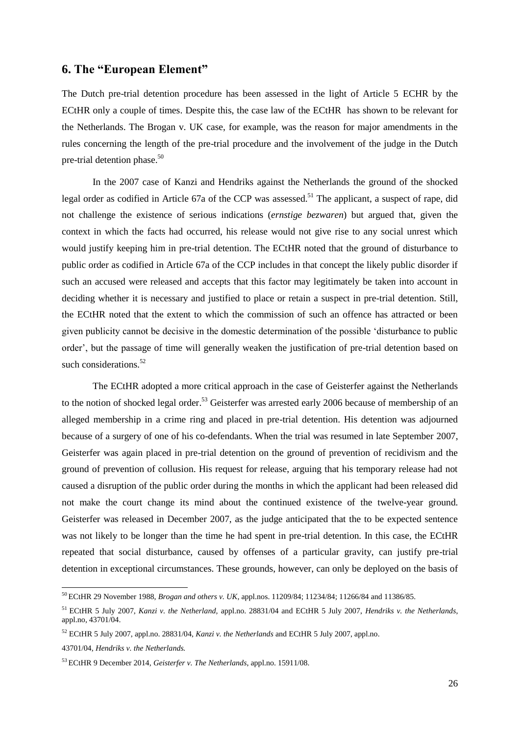## <span id="page-25-0"></span>**6. The "European Element"**

The Dutch pre-trial detention procedure has been assessed in the light of Article 5 ECHR by the ECtHR only a couple of times. Despite this, the case law of the ECtHR has shown to be relevant for the Netherlands. The Brogan v. UK case, for example, was the reason for major amendments in the rules concerning the length of the pre-trial procedure and the involvement of the judge in the Dutch pre-trial detention phase. $50$ 

In the 2007 case of Kanzi and Hendriks against the Netherlands the ground of the shocked legal order as codified in Article 67a of the CCP was assessed.<sup>51</sup> The applicant, a suspect of rape, did not challenge the existence of serious indications (*ernstige bezwaren*) but argued that, given the context in which the facts had occurred, his release would not give rise to any social unrest which would justify keeping him in pre-trial detention. The ECtHR noted that the ground of disturbance to public order as codified in Article 67a of the CCP includes in that concept the likely public disorder if such an accused were released and accepts that this factor may legitimately be taken into account in deciding whether it is necessary and justified to place or retain a suspect in pre-trial detention. Still, the ECtHR noted that the extent to which the commission of such an offence has attracted or been given publicity cannot be decisive in the domestic determination of the possible 'disturbance to public order', but the passage of time will generally weaken the justification of pre-trial detention based on such considerations.<sup>52</sup>

The ECtHR adopted a more critical approach in the case of Geisterfer against the Netherlands to the notion of shocked legal order.<sup>53</sup> Geisterfer was arrested early 2006 because of membership of an alleged membership in a crime ring and placed in pre-trial detention. His detention was adjourned because of a surgery of one of his co-defendants. When the trial was resumed in late September 2007, Geisterfer was again placed in pre-trial detention on the ground of prevention of recidivism and the ground of prevention of collusion. His request for release, arguing that his temporary release had not caused a disruption of the public order during the months in which the applicant had been released did not make the court change its mind about the continued existence of the twelve-year ground. Geisterfer was released in December 2007, as the judge anticipated that the to be expected sentence was not likely to be longer than the time he had spent in pre-trial detention. In this case, the ECtHR repeated that social disturbance, caused by offenses of a particular gravity, can justify pre-trial detention in exceptional circumstances. These grounds, however, can only be deployed on the basis of

-

<sup>50</sup> ECtHR 29 November 1988, *Brogan and others v. UK*, appl.nos. 11209/84; 11234/84; 11266/84 and 11386/85.

<sup>51</sup> ECtHR 5 July 2007, *Kanzi v. the Netherland,* appl.no. 28831/04 and ECtHR 5 July 2007, *Hendriks v. the Netherlands*, appl.no, 43701/04.

<sup>52</sup> ECtHR 5 July 2007, appl.no. 28831/04, *Kanzi v. the Netherlands* and ECtHR 5 July 2007, appl.no. 43701/04, *Hendriks v. the Netherlands.* 

<sup>53</sup> ECtHR 9 December 2014*, Geisterfer v. The Netherlands*, appl.no. 15911/08.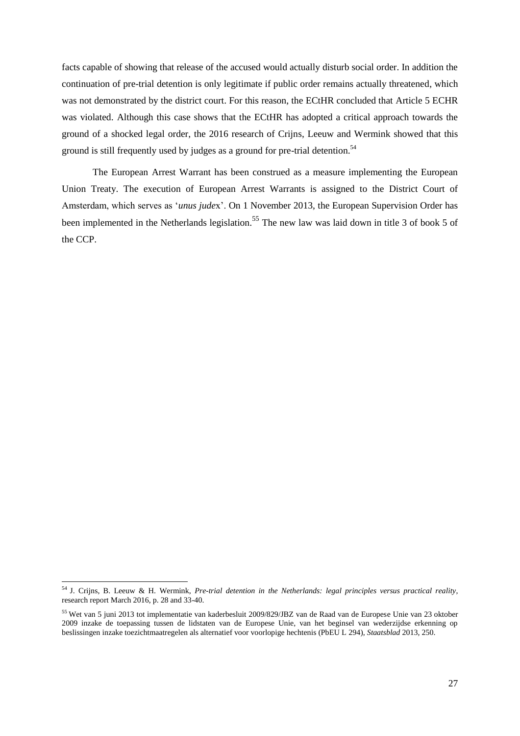facts capable of showing that release of the accused would actually disturb social order. In addition the continuation of pre-trial detention is only legitimate if public order remains actually threatened, which was not demonstrated by the district court. For this reason, the ECtHR concluded that Article 5 ECHR was violated. Although this case shows that the ECtHR has adopted a critical approach towards the ground of a shocked legal order, the 2016 research of Crijns, Leeuw and Wermink showed that this ground is still frequently used by judges as a ground for pre-trial detention.<sup>54</sup>

The European Arrest Warrant has been construed as a measure implementing the European Union Treaty. The execution of European Arrest Warrants is assigned to the District Court of Amsterdam, which serves as '*unus jude*x'. On 1 November 2013, the European Supervision Order has been implemented in the Netherlands legislation.<sup>55</sup> The new law was laid down in title 3 of book 5 of the CCP.

-

<sup>54</sup> J. Crijns, B. Leeuw & H. Wermink, *Pre-trial detention in the Netherlands: legal principles versus practical reality*, research report March 2016, p. 28 and 33-40.

<sup>&</sup>lt;sup>55</sup> Wet van 5 juni 2013 tot implementatie van kaderbesluit 2009/829/JBZ van de Raad van de Europese Unie van 23 oktober 2009 inzake de toepassing tussen de lidstaten van de Europese Unie, van het beginsel van wederzijdse erkenning op beslissingen inzake toezichtmaatregelen als alternatief voor voorlopige hechtenis (PbEU L 294), *Staatsblad* 2013, 250.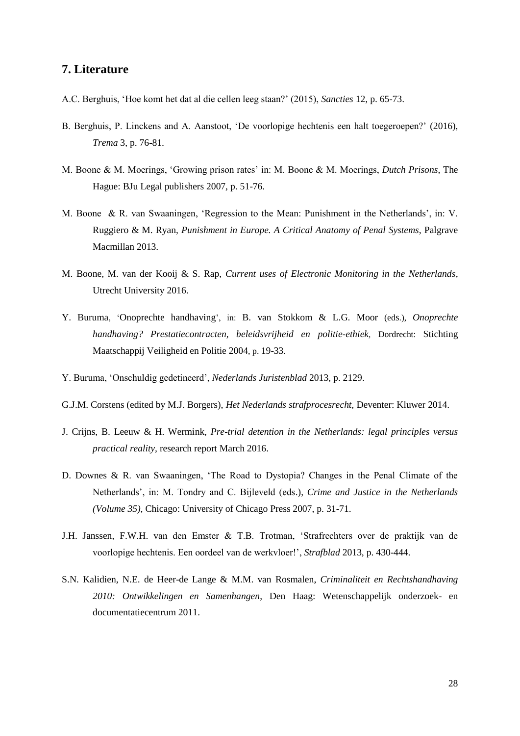# <span id="page-27-0"></span>**7. Literature**

- A.C. Berghuis, 'Hoe komt het dat al die cellen leeg staan?' (2015), *Sancties* 12, p. 65-73.
- B. Berghuis, P. Linckens and A. Aanstoot, 'De voorlopige hechtenis een halt toegeroepen?' (2016), *Trema* 3, p. 76-81.
- M. Boone & M. Moerings, 'Growing prison rates' in: M. Boone & M. Moerings, *Dutch Prisons*, The Hague: BJu Legal publishers 2007, p. 51-76.
- M. Boone & R. van Swaaningen, 'Regression to the Mean: Punishment in the Netherlands', in: V. Ruggiero & M. Ryan, *Punishment in Europe. A Critical Anatomy of Penal Systems*, Palgrave Macmillan 2013.
- M. Boone, M. van der Kooij & S. Rap, *Current uses of Electronic Monitoring in the Netherlands*, Utrecht University 2016.
- Y. Buruma, 'Onoprechte handhaving', in: B. van Stokkom & L.G. Moor (eds.), *Onoprechte handhaving? Prestatiecontracten, beleidsvrijheid en politie-ethiek,* Dordrecht: Stichting Maatschappij Veiligheid en Politie 2004, p. 19-33.
- Y. Buruma, 'Onschuldig gedetineerd', *Nederlands Juristenblad* 2013, p. 2129.
- G.J.M. Corstens (edited by M.J. Borgers), *Het Nederlands strafprocesrecht,* Deventer: Kluwer 2014.
- J. Crijns, B. Leeuw & H. Wermink, *Pre-trial detention in the Netherlands: legal principles versus practical reality,* research report March 2016.
- D. Downes & R. van Swaaningen, 'The Road to Dystopia? Changes in the Penal Climate of the Netherlands', in: M. Tondry and C. Bijleveld (eds.), *Crime and Justice in the Netherlands (Volume 35),* Chicago: University of Chicago Press 2007, p. 31-71.
- J.H. Janssen, F.W.H. van den Emster & T.B. Trotman, 'Strafrechters over de praktijk van de voorlopige hechtenis. Een oordeel van de werkvloer!', *Strafblad* 2013, p. 430-444.
- S.N. Kalidien, N.E. de Heer-de Lange & M.M. van Rosmalen, *Criminaliteit en Rechtshandhaving 2010: Ontwikkelingen en Samenhangen*, Den Haag: Wetenschappelijk onderzoek- en documentatiecentrum 2011.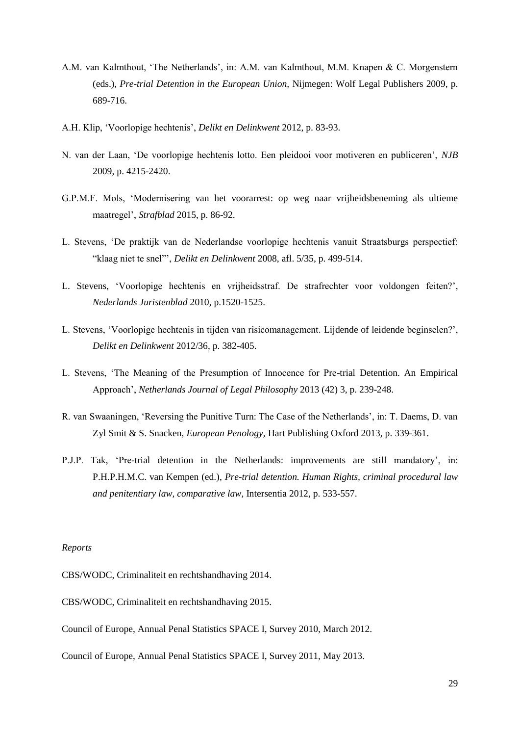- A.M. van Kalmthout, 'The Netherlands', in: A.M. van Kalmthout, M.M. Knapen & C. Morgenstern (eds.), *Pre-trial Detention in the European Union,* Nijmegen: Wolf Legal Publishers 2009, p. 689-716.
- A.H. Klip, 'Voorlopige hechtenis', *Delikt en Delinkwent* 2012, p. 83-93.
- N. van der Laan, 'De voorlopige hechtenis lotto. Een pleidooi voor motiveren en publiceren', *NJB*  2009, p. 4215-2420.
- G.P.M.F. Mols, 'Modernisering van het voorarrest: op weg naar vrijheidsbeneming als ultieme maatregel', *Strafblad* 2015, p. 86-92.
- L. Stevens, 'De praktijk van de Nederlandse voorlopige hechtenis vanuit Straatsburgs perspectief: "klaag niet te snel"', *Delikt en Delinkwent* 2008, afl. 5/35, p. 499-514.
- L. Stevens, 'Voorlopige hechtenis en vrijheidsstraf. De strafrechter voor voldongen feiten?', *Nederlands Juristenblad* 2010, p.1520-1525.
- L. Stevens, 'Voorlopige hechtenis in tijden van risicomanagement. Lijdende of leidende beginselen?', *Delikt en Delinkwent* 2012/36, p. 382-405.
- L. Stevens, 'The Meaning of the Presumption of Innocence for Pre-trial Detention. An Empirical Approach', *Netherlands Journal of Legal Philosophy* 2013 (42) 3, p. 239-248.
- R. van Swaaningen, 'Reversing the Punitive Turn: The Case of the Netherlands', in: T. Daems, D. van Zyl Smit & S. Snacken, *European Penology,* Hart Publishing Oxford 2013, p. 339-361.
- P.J.P. Tak, 'Pre-trial detention in the Netherlands: improvements are still mandatory', in: P.H.P.H.M.C. van Kempen (ed.), *Pre-trial detention. Human Rights, criminal procedural law and penitentiary law, comparative law,* Intersentia 2012, p. 533-557.

#### *Reports*

CBS/WODC, Criminaliteit en rechtshandhaving 2014.

CBS/WODC, Criminaliteit en rechtshandhaving 2015.

Council of Europe, Annual Penal Statistics SPACE I, Survey 2010, March 2012.

Council of Europe, Annual Penal Statistics SPACE I, Survey 2011, May 2013.